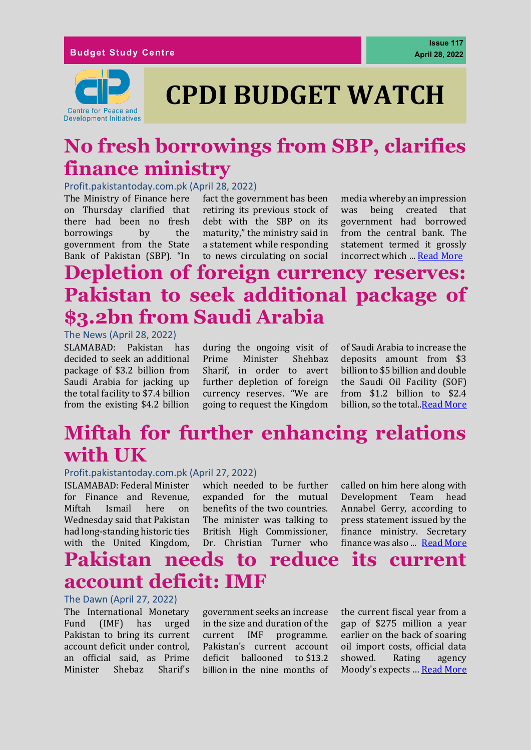

# **No fresh borrowings from SBP, clarifies finance ministry**

#### Profit.pakistantoday.com.pk (April 28, 2022)

The Ministry of Finance here on Thursday clarified that there had been no fresh borrowings by the government from the State Bank of Pakistan (SBP). "In

fact the government has been retiring its previous stock of debt with the SBP on its maturity," the ministry said in a statement while responding to news circulating on social

media whereby an impression was being created that government had borrowed from the central bank. The statement termed it grossly incorrect which ... [Read More](https://profit.pakistantoday.com.pk/2022/04/28/no-fresh-borrowings-from-sbp-clarifies-finance-ministry/)

# **Depletion of foreign currency reserves: Pakistan to seek additional package of \$3.2bn from Saudi Arabia**

#### The News (April 28, 2022)

SLAMABAD: Pakistan has decided to seek an additional package of \$3.2 billion from Saudi Arabia for jacking up the total facility to \$7.4 billion from the existing \$4.2 billion

during the ongoing visit of Prime Minister Shehbaz Sharif, in order to avert further depletion of foreign currency reserves. "We are going to request the Kingdom

of Saudi Arabia to increase the deposits amount from \$3 billion to \$5 billion and double the Saudi Oil Facility (SOF) from \$1.2 billion to \$2.4 billion, so the total.[.Read More](https://www.thenews.com.pk/print/953989-depletion-of-foreign-currency-reserves-pakistan-to-seek-additional-package-of-3-2bn-from-ksa)

# **Miftah for further enhancing relations with UK**

#### Profit.pakistantoday.com.pk (April 27, 2022)

ISLAMABAD: Federal Minister for Finance and Revenue, Miftah Ismail here on Wednesday said that Pakistan had long-standing historic ties with the United Kingdom, which needed to be further expanded for the mutual benefits of the two countries. The minister was talking to British High Commissioner, Dr. Christian Turner who

called on him here along with Development Team head Annabel Gerry, according to press statement issued by the finance ministry. Secretary finance was also ... [Read More](https://profit.pakistantoday.com.pk/2022/04/27/miftah-for-further-enhancing-relations-with-uk/)

# **Pakistan needs to reduce its current account deficit: IMF**

#### The Dawn (April 27, 2022)

The International Monetary Fund (IMF) has urged Pakistan to bring its current account deficit under control, an official said, as Prime Minister Shebaz Sharif's

government seeks an increase in the size and duration of the current IMF programme. Pakistan's current account deficit ballooned to \$13.2 [billion](https://www.dawn.com/news/1686512/current-account-deficit-doubles-in-march-to-1bn) in the nine months of the current fiscal year from a gap of \$275 million a year earlier on the back of soaring oil import costs, official data showed. Rating agency Moody's expects … [Read More](https://www.dawn.com/news/1687094)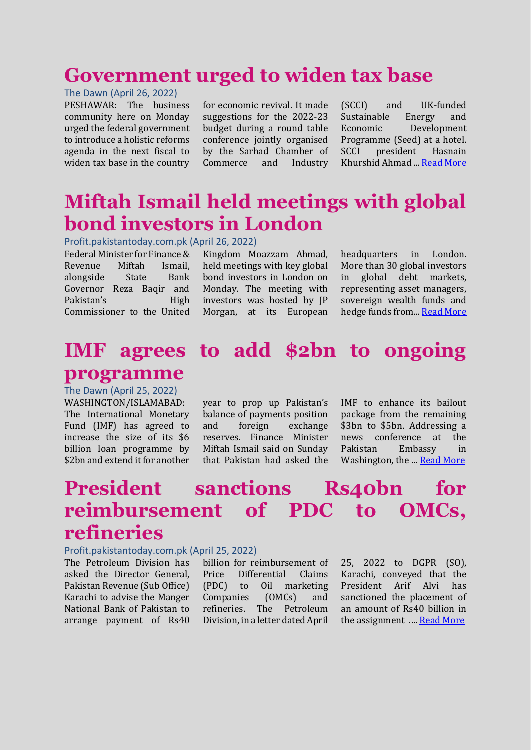## **Government urged to widen tax base**

#### The Dawn (April 26, 2022)

PESHAWAR: The business community here on Monday urged the federal government to introduce a holistic reforms agenda in the next fiscal to widen tax base in the country

for economic revival. It made suggestions for the 2022-23 budget during a round table conference jointly organised by the Sarhad Chamber of Commerce and Industry (SCCI) and UK-funded Sustainable Energy and Economic Development Programme (Seed) at a hotel. SCCI president Hasnain Khurshid Ahmad ... [Read More](https://www.dawn.com/news/1686803)

# **Miftah Ismail held meetings with global bond investors in London**

Profit.pakistantoday.com.pk (April 26, 2022)

Federal Minister for Finance & Revenue Miftah Ismail, alongside State Bank Governor Reza Baqir and Pakistan's High Commissioner to the United

Kingdom Moazzam Ahmad, held meetings with key global bond investors in London on Monday. The meeting with investors was hosted by JP Morgan, at its European

headquarters in London. More than 30 global investors in global debt markets, representing asset managers, sovereign wealth funds and hedge funds from... [Read More](https://profit.pakistantoday.com.pk/2022/04/26/miftah-ismail-held-meetings-with-global-bond-investors-in-london/)

### **IMF agrees to add \$2bn to ongoing programme**

The Dawn (April 25, 2022)

WASHINGTON/ISLAMABAD: The International Monetary Fund (IMF) has agreed to increase the size of its \$6 billion loan programme by \$2bn and extend it for another

year to prop up Pakistan's balance of payments position and foreign exchange reserves. Finance Minister Miftah Ismail said on Sunday that Pakistan had asked the

IMF to enhance its bailout package from the remaining \$3bn to \$5bn. Addressing a news conference at the Pakistan Embassy in Washington, the ... [Read More](https://www.dawn.com/news/1686702/imf-agrees-to-add-2bn-to-ongoing-programme)

# **President sanctions Rs40bn for reimbursement of PDC to OMCs, refineries**

#### Profit.pakistantoday.com.pk (April 25, 2022)

The Petroleum Division has asked the Director General, Pakistan Revenue (Sub Office) Karachi to advise the Manger National Bank of Pakistan to arrange payment of Rs40

billion for reimbursement of Price Differential Claims (PDC) to Oil marketing Companies (OMCs) and refineries. The Petroleum Division, in a letter dated April 25, 2022 to DGPR (SO), Karachi, conveyed that the President Arif Alvi has sanctioned the placement of an amount of Rs40 billion in the assignment .... [Read More](https://profit.pakistantoday.com.pk/2022/04/25/president-sanctions-rs40bn-for-reimbursement-of-pdc-to-omcs-refineries/)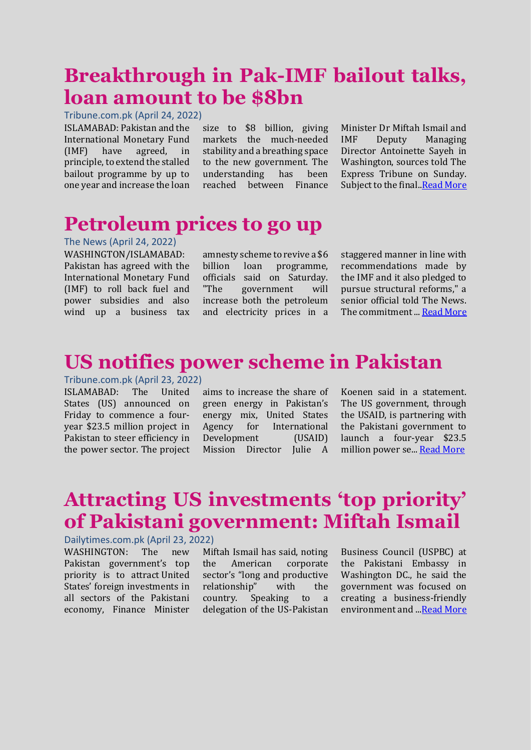# **Breakthrough in Pak-IMF bailout talks, loan amount to be \$8bn**

Tribune.com.pk (April 24, 2022)

ISLAMABAD: Pakistan and the International Monetary Fund (IMF) have agreed, in principle, to extend the stalled bailout programme by up to one year and increase the loan

size to \$8 billion, giving markets the much-needed stability and a breathing space to the new government. The understanding has been reached between Finance

Minister Dr Miftah Ismail and IMF Deputy Managing Director Antoinette Sayeh in Washington, sources told The Express Tribune on Sunday. Subject to the final.[.Read More](https://tribune.com.pk/story/2354052/breakthrough-in-pak-imf-bailout-talks-loan-amount-to-be-8bn)

# **Petroleum prices to go up**

The News (April 24, 2022)

WASHINGTON/ISLAMABAD: Pakistan has agreed with the International Monetary Fund (IMF) to roll back fuel and power subsidies and also wind up a business tax

amnesty scheme to revive a \$6 billion loan programme, officials said on Saturday. "The government will increase both the petroleum and electricity prices in a

staggered manner in line with recommendations made by the IMF and it also pledged to pursue structural reforms," a senior official told The News. The commitment... [Read More](https://www.thenews.com.pk/print/952770-petroleum-prices-to-go-up)

## **US notifies power scheme in Pakistan**

### Tribune.com.pk (April 23, 2022)

ISLAMABAD: The United States (US) announced on Friday to commence a fouryear \$23.5 million project in Pakistan to steer efficiency in the power sector. The project

aims to increase the share of green energy in Pakistan's energy mix, United States Agency for International Development (USAID) Mission Director Julie A

Koenen said in a statement. The US government, through the USAID, is partnering with the Pakistani government to launch a four-year \$23.5 million power se... [Read More](https://www.thenews.com.pk/print/948706-pak-china-relations-have-gone-through-historic-change-since-inception-of-cpec)

# **Attracting US investments 'top priority' of Pakistani government: Miftah Ismail**

#### Dailytimes.com.pk (April 23, 2022)

WASHINGTON: The new Pakistan government's top priority is to attract [United](https://dailytimes.com.pk/924373/imf-talks-miftah-ismail-hints-of-expected-rise-in-petroleum-prices/)  [States' foreign investment](https://dailytimes.com.pk/924373/imf-talks-miftah-ismail-hints-of-expected-rise-in-petroleum-prices/)s in all sectors of the Pakistani economy, Finance Minister

Miftah Ismail has said, noting the American corporate sector's "long and productive relationship" with the country. Speaking to a delegation of the US-Pakistan Business Council (USPBC) at the Pakistani Embassy in Washington DC., he said the government was focused on creating a business-friendly environment and .[..Read More](https://dailytimes.com.pk/924465/attracting-us-investments-top-priority-of-pakistani-governments-miftah-ismail/)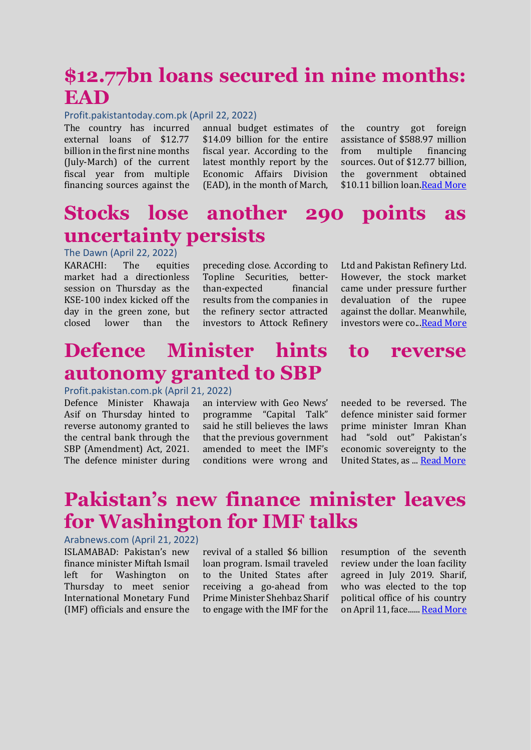# **\$12.77bn loans secured in nine months: EAD**

#### Profit.pakistantoday.com.pk (April 22, 2022)

The country has incurred external loans of \$12.77 billion in the first nine months (July-March) of the current fiscal year from multiple financing sources against the

annual budget estimates of \$14.09 billion for the entire fiscal year. According to the latest monthly report by the Economic Affairs Division (EAD), in the month of March,

the country got foreign assistance of \$588.97 million from multiple financing sources. Out of \$12.77 billion, the government obtained \$10.11 billion loan. Read More

# **Stocks lose another 290 points as uncertainty persists**

#### The Dawn (April 22, 2022)

KARACHI: The equities market had a directionless session on Thursday as the KSE-100 index kicked off the day in the green zone, but closed lower than the

preceding close. According to Topline Securities, betterthan-expected financial results from the companies in the refinery sector attracted investors to Attock Refinery Ltd and Pakistan Refinery Ltd. However, the stock market came under pressure further devaluation of the rupee against the dollar. Meanwhile, investors were co.[..Read More](https://www.dawn.com/news/1686177/stocks-lose-another-290-points-as-uncertainty-persists)

# **Defence Minister hints to reverse autonomy granted to SBP**

#### Profit.pakistan.com.pk (April 21, 2022)

Defence Minister Khawaja Asif on Thursday hinted to reverse autonomy granted to the central bank through the SBP (Amendment) Act, 2021. The defence minister during

an interview with Geo News' programme "Capital Talk" said he still believes the laws that the previous government amended to meet the IMF's conditions were wrong and

needed to be reversed. The defence minister said former prime minister Imran Khan had "sold out" Pakistan's economic sovereignty to the United States, as ..[. Read More](https://profit.pakistantoday.com.pk/2022/04/21/defence-minister-hints-to-reverse-autonomy-granted-to-sbp/)

# **Pakistan's new finance minister leaves for Washington for IMF talks**

#### Arabnews.com (April 21, 2022)

ISLAMABAD: Pakistan's new finance minister Miftah Ismail left for Washington on Thursday to meet senior International Monetary Fund (IMF) officials and ensure the

revival of a stalled \$6 billion loan program. Ismail traveled to the United States after receiving a go-ahead from Prime Minister Shehbaz Sharif to engage with the IMF for the resumption of the seventh review under the loan facility agreed in July 2019. Sharif, who was elected to the top political office of his country on April 11, face.....[. Read More](https://www.arabnews.pk/node/2067016/pakistan)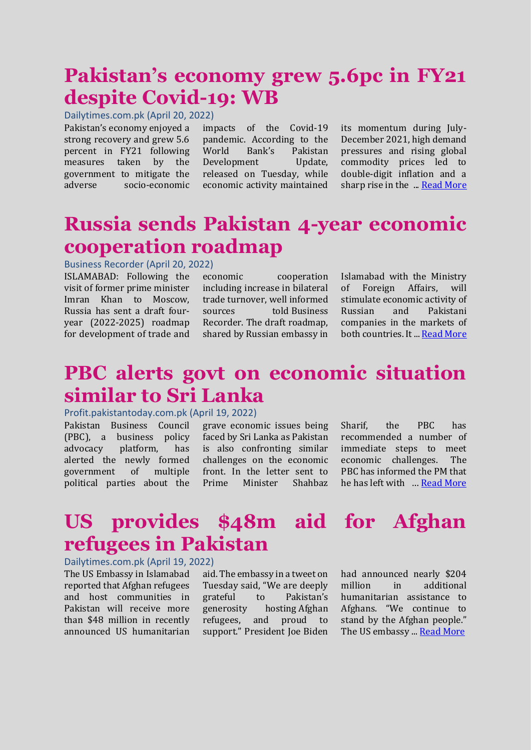# **Pakistan's economy grew 5.6pc in FY21 despite Covid-19: WB**

Dailytimes.com.pk (April 20, 2022)

Pakistan's economy enjoyed a strong recovery and grew 5.6 percent in FY21 following measures taken by the government to mitigate the adverse socio-economic

impacts of the Covid-19 pandemic. According to the World Bank's Pakistan Development Update. released on Tuesday, while economic activity maintained

its momentum during July-December 2021, high demand pressures and rising global commodity prices led to double-digit inflation and a sharp rise in the ... [Read](https://dailytimes.com.pk/922202/pakistans-economy-grew-5-6pc-in-fy21-despite-covid-19-wb/) More

## **Russia sends Pakistan 4-year economic cooperation roadmap**

### Business Recorder (April 20, 2022)

ISLAMABAD: Following the visit of former prime minister Imran Khan to Moscow, Russia has sent a draft fouryear (2022-2025) roadmap for development of trade and

economic cooperation including increase in bilateral trade turnover, well informed sources told Business Recorder. The draft roadmap, shared by Russian embassy in Islamabad with the Ministry of Foreign Affairs, will stimulate economic activity of Russian and Pakistani companies in the markets of both countries. It ... [Read More](https://www.brecorder.com/news/40168345)

## **PBC alerts govt on economic situation similar to Sri Lanka**

#### Profit.pakistantoday.com.pk (April 19, 2022)

Pakistan Business Council (PBC), a business policy advocacy platform, has alerted the newly formed government of multiple political parties about the

grave economic issues being faced by Sri Lanka as Pakistan is also confronting similar challenges on the economic front. In the letter sent to Prime Minister Shahbaz Sharif, the PBC has recommended a number of immediate steps to meet economic challenges. The PBC has informed the PM that he has left with … [Read More](https://profit.pakistantoday.com.pk/2022/04/19/pbc-alerts-govt-on-grave-economic-situation-similar-to-sri-lanka/)

# **US provides \$48m aid for Afghan refugees in Pakistan**

### Dailytimes.com.pk (April 19, 2022)

The [US Embassy](https://dailytimes.com.pk/899847/afghan-us-embassy-lacking-funds-and-support-to-close/) in Islamabad reported that Afghan refugees and host communities in Pakistan will receive more than \$48 million in recently announced US humanitarian

aid. The embassy in a tweet on Tuesday said, "We are deeply grateful to Pakistan's generosity hosting Afghan refugees, and proud to support." President Joe Biden had announced nearly \$204 million in additional humanitarian assistance to Afghans. "We continue to stand by the Afghan people." The US embassy ... [Read More](https://dailytimes.com.pk/922134/us-provides-48m-aid-for-afghan-refugees-in-pakistan/)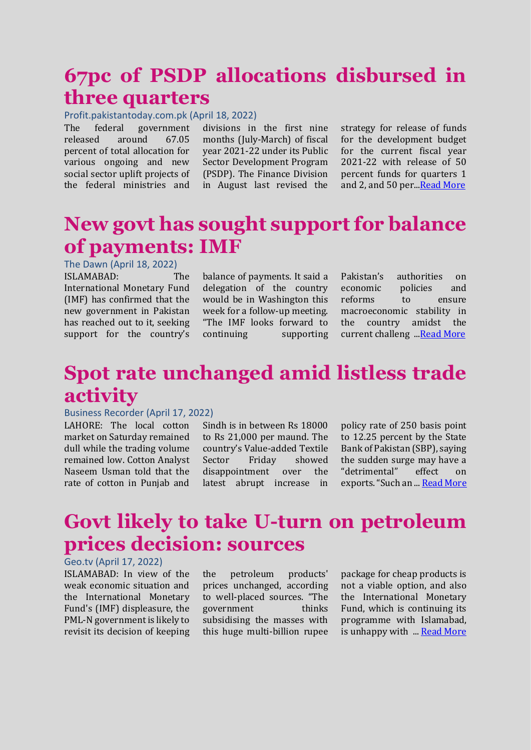## **67pc of PSDP allocations disbursed in three quarters**

#### Profit.pakistantoday.com.pk (April 18, 2022)

The federal government released around 67.05 percent of total allocation for various ongoing and new social sector uplift projects of the federal ministries and

divisions in the first nine months (July-March) of fiscal year 2021-22 under its Public Sector Development Program (PSDP). The Finance Division in August last revised the

strategy for release of funds for the development budget for the current fiscal year 2021-22 with release of 50 percent funds for quarters 1 and 2, and 50 per... Read More

### **New govt has sought support for balance of payments: IMF**

The Dawn (April 18, 2022)

ISLAMABAD: The International Monetary Fund (IMF) has confirmed that the new government in Pakistan has reached out to it, seeking support for the country's

balance of payments. It said a delegation of the country would be in Washington this week for a follow-up meeting. "The IMF looks forward to continuing supporting

Pakistan's authorities on economic policies and reforms to ensure macroeconomic stability in the country amidst the current challeng ... Read More

## **Spot rate unchanged amid listless trade activity**

#### Business Recorder (April 17, 2022)

LAHORE: The local cotton market on Saturday remained dull while the trading volume remained low. Cotton Analyst Naseem Usman told that the rate of cotton in Punjab and

Sindh is in between Rs 18000 to Rs 21,000 per maund. The country's Value-added Textile Sector Friday showed disappointment over the latest abrupt increase in policy rate of 250 basis point to 12.25 percent by the State Bank of Pakistan (SBP), saying the sudden surge may have a "detrimental" effect on exports."Such an ... [Read More](https://www.brecorder.com/news/40167706/spot-rate-unchanged-amid-listless-trade-activity)

## **Govt likely to take U-turn on petroleum prices decision: sources**

### Geo.tv (April 17, 2022)

ISLAMABAD: In view of the weak economic situation and the International Monetary Fund's (IMF) displeasure, the PML-N government is likely to revisit its decision of keeping

the petroleum products' prices unchanged, according to well-placed sources. "The government thinks subsidising the masses with this huge multi-billion rupee

package for cheap products is not a viable option, and also the International Monetary Fund, which is continuing its programme with Islamabad, is unhappy with ... [Read More](https://www.geo.tv/latest/411964-govt-likely-to-take-u-turn-on-petroleum-prices-decision-sources)